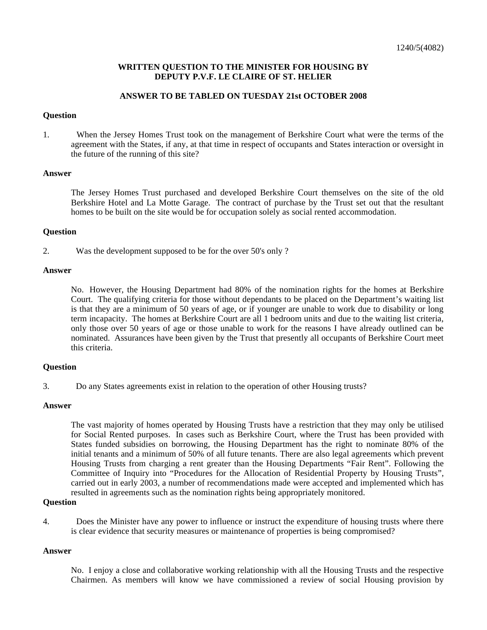### **WRITTEN QUESTION TO THE MINISTER FOR HOUSING BY DEPUTY P.V.F. LE CLAIRE OF ST. HELIER**

### **ANSWER TO BE TABLED ON TUESDAY 21st OCTOBER 2008**

#### **Question**

1. When the Jersey Homes Trust took on the management of Berkshire Court what were the terms of the agreement with the States, if any, at that time in respect of occupants and States interaction or oversight in the future of the running of this site?

### **Answer**

The Jersey Homes Trust purchased and developed Berkshire Court themselves on the site of the old Berkshire Hotel and La Motte Garage. The contract of purchase by the Trust set out that the resultant homes to be built on the site would be for occupation solely as social rented accommodation.

### **Question**

2. Was the development supposed to be for the over 50's only ?

### **Answer**

No. However, the Housing Department had 80% of the nomination rights for the homes at Berkshire Court. The qualifying criteria for those without dependants to be placed on the Department's waiting list is that they are a minimum of 50 years of age, or if younger are unable to work due to disability or long term incapacity. The homes at Berkshire Court are all 1 bedroom units and due to the waiting list criteria, only those over 50 years of age or those unable to work for the reasons I have already outlined can be nominated. Assurances have been given by the Trust that presently all occupants of Berkshire Court meet this criteria.

# **Question**

3. Do any States agreements exist in relation to the operation of other Housing trusts?

# **Answer**

The vast majority of homes operated by Housing Trusts have a restriction that they may only be utilised for Social Rented purposes. In cases such as Berkshire Court, where the Trust has been provided with States funded subsidies on borrowing, the Housing Department has the right to nominate 80% of the initial tenants and a minimum of 50% of all future tenants. There are also legal agreements which prevent Housing Trusts from charging a rent greater than the Housing Departments "Fair Rent". Following the Committee of Inquiry into "Procedures for the Allocation of Residential Property by Housing Trusts", carried out in early 2003, a number of recommendations made were accepted and implemented which has resulted in agreements such as the nomination rights being appropriately monitored.

#### **Question**

4. Does the Minister have any power to influence or instruct the expenditure of housing trusts where there is clear evidence that security measures or maintenance of properties is being compromised?

# **Answer**

No. I enjoy a close and collaborative working relationship with all the Housing Trusts and the respective Chairmen. As members will know we have commissioned a review of social Housing provision by